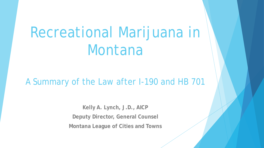# Recreational Marijuana in Montana

#### A Summary of the Law after I-190 and HB 701

**Kelly A. Lynch, J.D., AICP Deputy Director, General Counsel Montana League of Cities and Towns**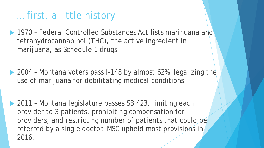# … first, a little history

- ▶ 1970 Federal Controlled Substances Act lists marihuana and tetrahydrocannabinol (THC), the active ingredient in marijuana, as Schedule 1 drugs.
- ▶ 2004 Montana voters pass I-148 by almost 62%, legalizing the use of marijuana for debilitating medical conditions
- ▶ 2011 Montana legislature passes SB 423, limiting each provider to 3 patients, prohibiting compensation for providers, and restricting number of patients that could be referred by a single doctor. MSC upheld most provisions in 2016.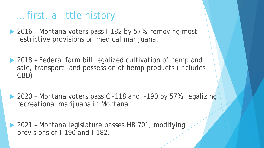### … first, a little history

- ▶ 2016 Montana voters pass I-182 by 57%, removing most restrictive provisions on medical marijuana.
- ▶ 2018 Federal farm bill legalized cultivation of hemp and sale, transport, and possession of hemp products (includes CBD)
- ▶ 2020 Montana voters pass CI-118 and I-190 by 57%, legalizing recreational marijuana in Montana
- ▶ 2021 Montana legislature passes HB 701, modifying provisions of I-190 and I-182.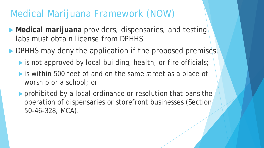# Medical Marijuana Framework (NOW)

- **Medical marijuana** providers, dispensaries, and testing labs must obtain license from DPHHS
- DPHHS may deny the application if the proposed premises:
	- is not approved by local building, health, or fire officials;
	- is within 500 feet of and on the same street as a place of worship or a school; or
	- **Perohibited by a local ordinance or resolution that bans the** operation of dispensaries or storefront businesses (Section 50-46-328, MCA).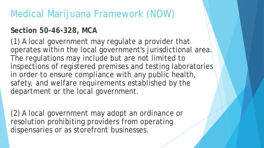# Medical Marijuana Framework (NOW)

#### **Section 50-46-328, MCA**

(1) A local government may regulate a provider that operates within the local government's jurisdictional area. The regulations may include but are not limited to inspections of registered premises and testing laboratories in order to ensure compliance with any public health, safety, and welfare requirements established by the department or the local government.

(2) A local government may adopt an ordinance or resolution prohibiting providers from operating dispensaries or as storefront businesses.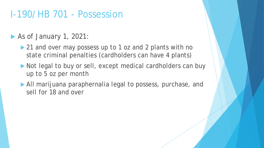## I-190/HB 701 - Possession

#### As of January 1, 2021:

- ▶ 21 and over may possess up to 1 oz and 2 plants with no state criminal penalties (cardholders can have 4 plants)
- Not legal to buy or sell, except medical cardholders can buy up to 5 oz per month
- All marijuana paraphernalia legal to possess, purchase, and sell for 18 and over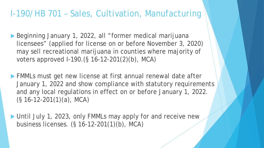#### I-190/HB 701 – Sales, Cultivation, Manufacturing

- ▶ Beginning January 1, 2022, all "former medical marijuana licensees" (applied for license on or before November 3, 2020) may sell recreational marijuana in counties where majority of voters approved I-190.(§ 16-12-201(2)(b), MCA)
- ▶ FMMLs must get new license at first annual renewal date after January 1, 2022 and show compliance with statutory requirements and any local regulations in effect on or before January 1, 2022. (§ 16-12-201(1)(a), MCA)
- ▶ Until July 1, 2023, only FMMLs may apply for and receive new business licenses. (§ 16-12-201(1)(b), MCA)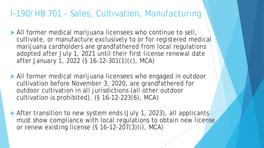#### I-190/HB 701 - Sales, Cultivation, Manufacturing

- All former medical marijuana licensees who continue to sell, cultivate, or manufacture exclusively to or for registered medical marijuana cardholders are grandfathered from local regulations adopted after July 1, 2021 until their first license renewal date after January 1, 2022 (§ 16-12-301(1)(c), MCA)
- All former medical marijuana licensees who engaged in outdoor cultivation before November 3, 2020, are grandfathered for outdoor cultivation in all jurisdictions (all other outdoor cultivation is prohibited). (§ 16-12-223(6), MCA)
- After transition to new system ends (July 1, 2023), all applicants must show compliance with local regulations to obtain new license or renew existing license (§ 16-12-207(3)(i), MCA)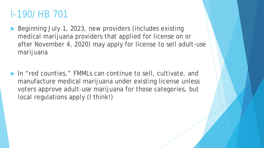# I-190/HB 701

- Beginning July 1, 2023, new providers (includes existing medical marijuana providers that applied for license on or after November 4, 2020) may apply for license to sell adult-use marijuana
- ▶ In "red counties," FMMLs can continue to sell, cultivate, and manufacture medical marijuana under existing license unless voters approve adult-use marijuana for those categories, but local regulations apply (I think!)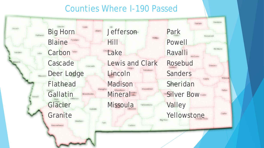#### Counties Where I-190 Passed

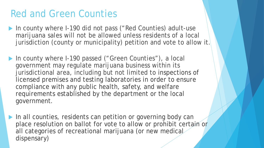# Red and Green Counties

- ▶ In county where I-190 did not pass ("Red Counties) adult-use marijuana sales will not be allowed unless residents of a local jurisdiction (county or municipality) petition and vote to allow it.
- ▶ In county where I-190 passed ("Green Counties"), a local government may regulate marijuana business within its jurisdictional area, including but not limited to inspections of licensed premises and testing laboratories in order to ensure compliance with any public health, safety, and welfare requirements established by the department or the local government.
- In all counties, residents can petition or governing body can place resolution on ballot for vote to allow or prohibit certain or all categories of recreational marijuana (or new medical dispensary)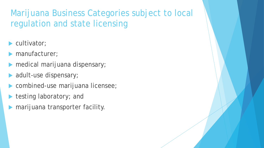### Marijuana Business Categories subject to local regulation and state licensing

- cultivator;
- manufacturer;
- medical marijuana dispensary;
- adult-use dispensary;
- **Combined-use marijuana licensee;**
- testing laboratory; and
- marijuana transporter facility.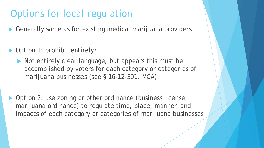# Options for local regulation

Generally same as for existing medical marijuana providers

- ▶ Option 1: prohibit entirely?
	- Not entirely clear language, but appears this must be accomplished by voters for each category or categories of marijuana businesses (see § 16-12-301, MCA)
- ▶ Option 2: use zoning or other ordinance (business license, marijuana ordinance) to regulate time, place, manner, and impacts of each category or categories of marijuana businesses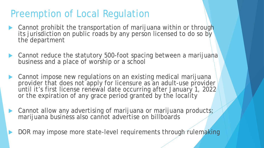# Preemption of Local Regulation

- Cannot prohibit the transportation of marijuana within or through its jurisdiction on public roads by any person licensed to do so by the department
- ▶ Cannot reduce the statutory 500-foot spacing between a marijuana business and a place of worship or a school
- Cannot impose new regulations on an existing medical marijuana provider that does not apply for licensure as an adult-use provider until it's first license renewal date occurring after January 1, 2022 or the expiration of any grace period granted by the locality
- ▶ Cannot allow any advertising of marijuana or marijuana products; marijuana business also cannot advertise on billboards
- DOR may impose more state-level requirements through rulemaking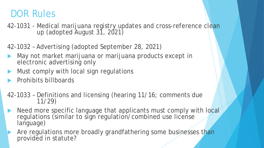## DOR Rules

42-1031 - Medical marijuana registry updates and cross-reference clean up (adopted August 31, 2021)

42-1032 – Advertising (adopted September 28, 2021)

- May not market marijuana or marijuana products except in electronic advertising only
- Must comply with local sign regulations
- Prohibits billboards
- 42-1033 Definitions and licensing (hearing 11/16; comments due 11/29)
- Need more specific language that applicants must comply with local regulations (similar to sign regulation/combined use license language)
	- Are regulations more broadly grandfathering some businesses than provided in statute?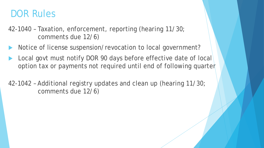### DOR Rules

- 42-1040 Taxation, enforcement, reporting (hearing 11/30; comments due 12/6)
- Notice of license suspension/revocation to local government?
- Local govt must notify DOR 90 days before effective date of local option tax or payments not required until end of following quarter
- 42-1042 Additional registry updates and clean up (hearing 11/30; comments due 12/6)